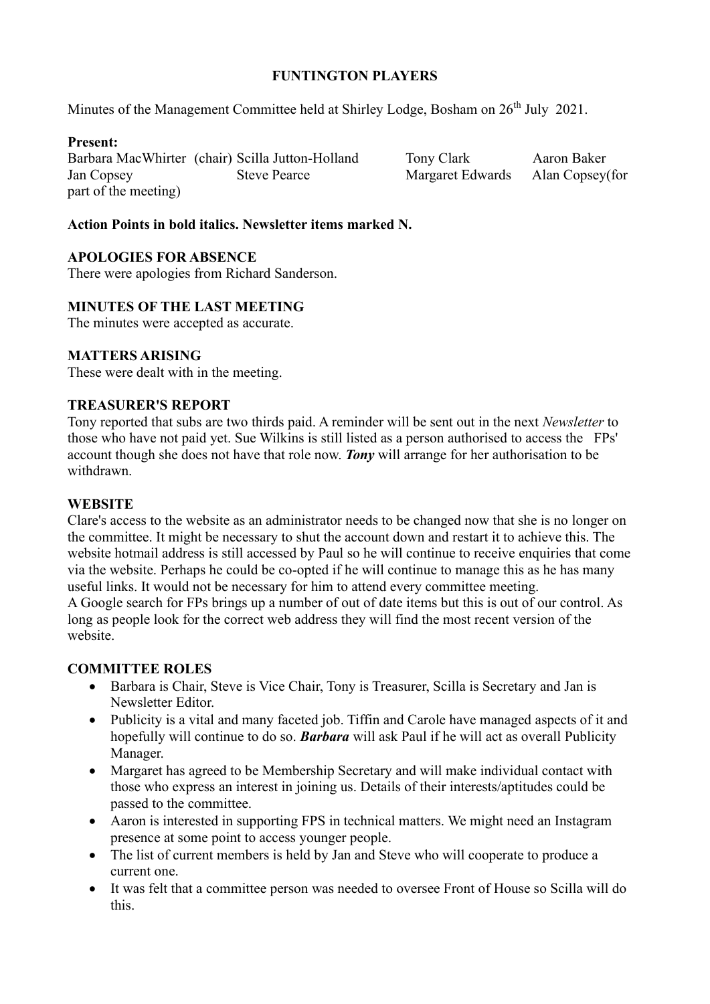## **FUNTINGTON PLAYERS**

Minutes of the Management Committee held at Shirley Lodge, Bosham on  $26<sup>th</sup>$  July 2021.

## **Present:**

Barbara MacWhirter (chair) Scilla Jutton-Holland Tony Clark Aaron Baker Jan Copsey Steve Pearce Margaret Edwards Alan Copsey(for part of the meeting)

## **Action Points in bold italics. Newsletter items marked N.**

### **APOLOGIES FOR ABSENCE**

There were apologies from Richard Sanderson.

### **MINUTES OF THE LAST MEETING**

The minutes were accepted as accurate.

### **MATTERS ARISING**

These were dealt with in the meeting.

#### **TREASURER'S REPORT**

Tony reported that subs are two thirds paid. A reminder will be sent out in the next *Newsletter* to those who have not paid yet. Sue Wilkins is still listed as a person authorised to access the FPs' account though she does not have that role now. *Tony* will arrange for her authorisation to be withdrawn.

#### **WEBSITE**

Clare's access to the website as an administrator needs to be changed now that she is no longer on the committee. It might be necessary to shut the account down and restart it to achieve this. The website hotmail address is still accessed by Paul so he will continue to receive enquiries that come via the website. Perhaps he could be co-opted if he will continue to manage this as he has many useful links. It would not be necessary for him to attend every committee meeting. A Google search for FPs brings up a number of out of date items but this is out of our control. As long as people look for the correct web address they will find the most recent version of the website.

#### **COMMITTEE ROLES**

- Barbara is Chair, Steve is Vice Chair, Tony is Treasurer, Scilla is Secretary and Jan is Newsletter Editor.
- Publicity is a vital and many faceted job. Tiffin and Carole have managed aspects of it and hopefully will continue to do so. *Barbara* will ask Paul if he will act as overall Publicity Manager.
- Margaret has agreed to be Membership Secretary and will make individual contact with those who express an interest in joining us. Details of their interests/aptitudes could be passed to the committee.
- Aaron is interested in supporting FPS in technical matters. We might need an Instagram presence at some point to access younger people.
- The list of current members is held by Jan and Steve who will cooperate to produce a current one.
- It was felt that a committee person was needed to oversee Front of House so Scilla will do this.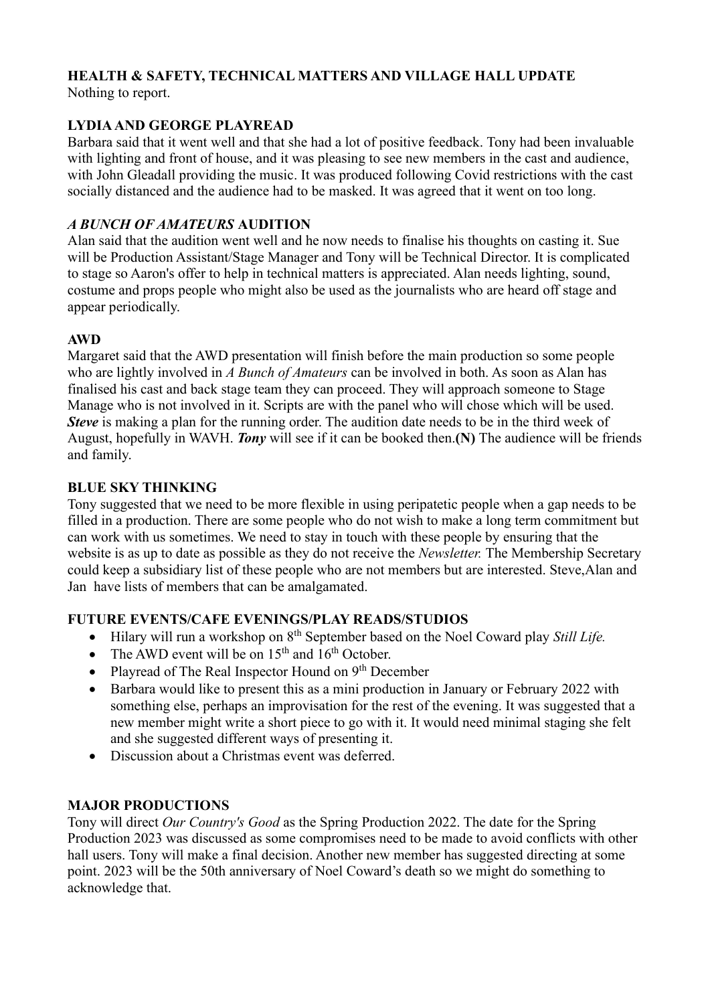# **HEALTH & SAFETY, TECHNICAL MATTERS AND VILLAGE HALL UPDATE**

Nothing to report.

# **LYDIA AND GEORGE PLAYREAD**

Barbara said that it went well and that she had a lot of positive feedback. Tony had been invaluable with lighting and front of house, and it was pleasing to see new members in the cast and audience, with John Gleadall providing the music. It was produced following Covid restrictions with the cast socially distanced and the audience had to be masked. It was agreed that it went on too long.

# *A BUNCH OF AMATEURS* **AUDITION**

Alan said that the audition went well and he now needs to finalise his thoughts on casting it. Sue will be Production Assistant/Stage Manager and Tony will be Technical Director. It is complicated to stage so Aaron's offer to help in technical matters is appreciated. Alan needs lighting, sound, costume and props people who might also be used as the journalists who are heard off stage and appear periodically.

# **AWD**

Margaret said that the AWD presentation will finish before the main production so some people who are lightly involved in *A Bunch of Amateurs* can be involved in both. As soon as Alan has finalised his cast and back stage team they can proceed. They will approach someone to Stage Manage who is not involved in it. Scripts are with the panel who will chose which will be used. *Steve* is making a plan for the running order. The audition date needs to be in the third week of August, hopefully in WAVH. *Tony* will see if it can be booked then.**(N)** The audience will be friends and family.

# **BLUE SKY THINKING**

Tony suggested that we need to be more flexible in using peripatetic people when a gap needs to be filled in a production. There are some people who do not wish to make a long term commitment but can work with us sometimes. We need to stay in touch with these people by ensuring that the website is as up to date as possible as they do not receive the *Newsletter.* The Membership Secretary could keep a subsidiary list of these people who are not members but are interested. Steve,Alan and Jan have lists of members that can be amalgamated.

# **FUTURE EVENTS/CAFE EVENINGS/PLAY READS/STUDIOS**

- Hilary will run a workshop on 8<sup>th</sup> September based on the Noel Coward play *Still Life*.
- The AWD event will be on  $15<sup>th</sup>$  and  $16<sup>th</sup>$  October.
- Playread of The Real Inspector Hound on  $9<sup>th</sup>$  December
- Barbara would like to present this as a mini production in January or February 2022 with something else, perhaps an improvisation for the rest of the evening. It was suggested that a new member might write a short piece to go with it. It would need minimal staging she felt and she suggested different ways of presenting it.
- Discussion about a Christmas event was deferred.

# **MAJOR PRODUCTIONS**

Tony will direct *Our Country's Good* as the Spring Production 2022. The date for the Spring Production 2023 was discussed as some compromises need to be made to avoid conflicts with other hall users. Tony will make a final decision. Another new member has suggested directing at some point. 2023 will be the 50th anniversary of Noel Coward's death so we might do something to acknowledge that.